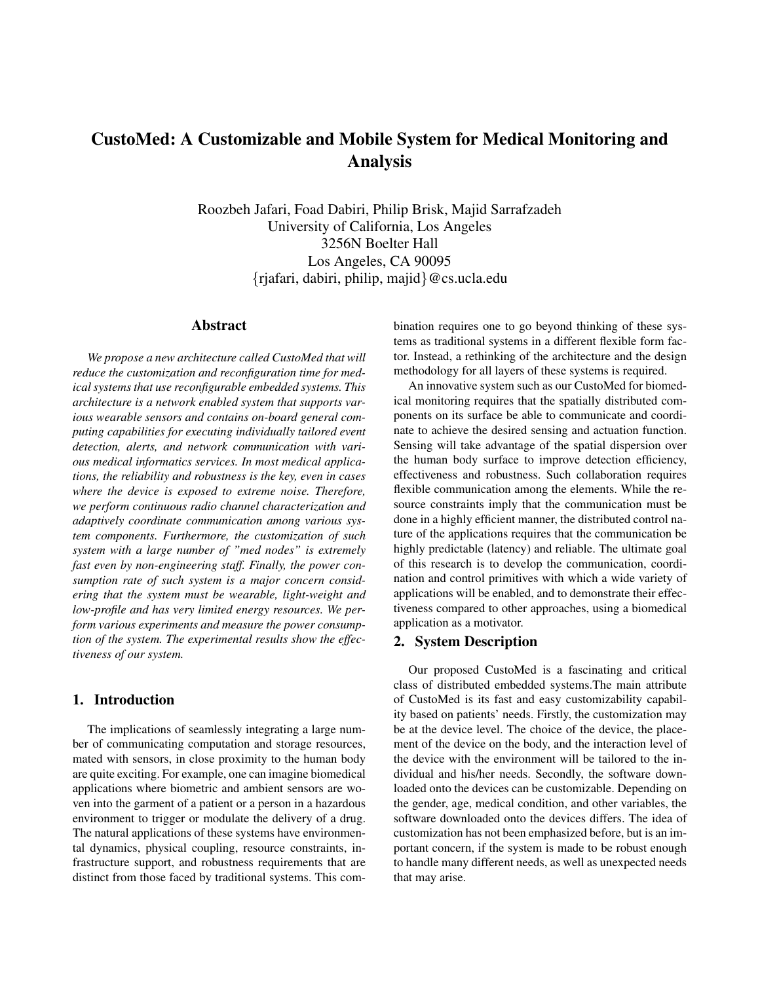# CustoMed: A Customizable and Mobile System for Medical Monitoring and Analysis

Roozbeh Jafari, Foad Dabiri, Philip Brisk, Majid Sarrafzadeh University of California, Los Angeles 3256N Boelter Hall Los Angeles, CA 90095 {rjafari, dabiri, philip, majid}@cs.ucla.edu

#### Abstract

*We propose a new architecture called CustoMed that will reduce the customization and reconfiguration time for medical systems that use reconfigurable embedded systems. This architecture is a network enabled system that supports various wearable sensors and contains on-board general computing capabilities for executing individually tailored event detection, alerts, and network communication with various medical informatics services. In most medical applications, the reliability and robustness is the key, even in cases where the device is exposed to extreme noise. Therefore, we perform continuous radio channel characterization and adaptively coordinate communication among various system components. Furthermore, the customization of such system with a large number of "med nodes" is extremely fast even by non-engineering staff. Finally, the power consumption rate of such system is a major concern considering that the system must be wearable, light-weight and low-profile and has very limited energy resources. We perform various experiments and measure the power consumption of the system. The experimental results show the effectiveness of our system.*

## 1. Introduction

The implications of seamlessly integrating a large number of communicating computation and storage resources, mated with sensors, in close proximity to the human body are quite exciting. For example, one can imagine biomedical applications where biometric and ambient sensors are woven into the garment of a patient or a person in a hazardous environment to trigger or modulate the delivery of a drug. The natural applications of these systems have environmental dynamics, physical coupling, resource constraints, infrastructure support, and robustness requirements that are distinct from those faced by traditional systems. This combination requires one to go beyond thinking of these systems as traditional systems in a different flexible form factor. Instead, a rethinking of the architecture and the design methodology for all layers of these systems is required.

An innovative system such as our CustoMed for biomedical monitoring requires that the spatially distributed components on its surface be able to communicate and coordinate to achieve the desired sensing and actuation function. Sensing will take advantage of the spatial dispersion over the human body surface to improve detection efficiency, effectiveness and robustness. Such collaboration requires flexible communication among the elements. While the resource constraints imply that the communication must be done in a highly efficient manner, the distributed control nature of the applications requires that the communication be highly predictable (latency) and reliable. The ultimate goal of this research is to develop the communication, coordination and control primitives with which a wide variety of applications will be enabled, and to demonstrate their effectiveness compared to other approaches, using a biomedical application as a motivator.

#### 2. System Description

Our proposed CustoMed is a fascinating and critical class of distributed embedded systems.The main attribute of CustoMed is its fast and easy customizability capability based on patients' needs. Firstly, the customization may be at the device level. The choice of the device, the placement of the device on the body, and the interaction level of the device with the environment will be tailored to the individual and his/her needs. Secondly, the software downloaded onto the devices can be customizable. Depending on the gender, age, medical condition, and other variables, the software downloaded onto the devices differs. The idea of customization has not been emphasized before, but is an important concern, if the system is made to be robust enough to handle many different needs, as well as unexpected needs that may arise.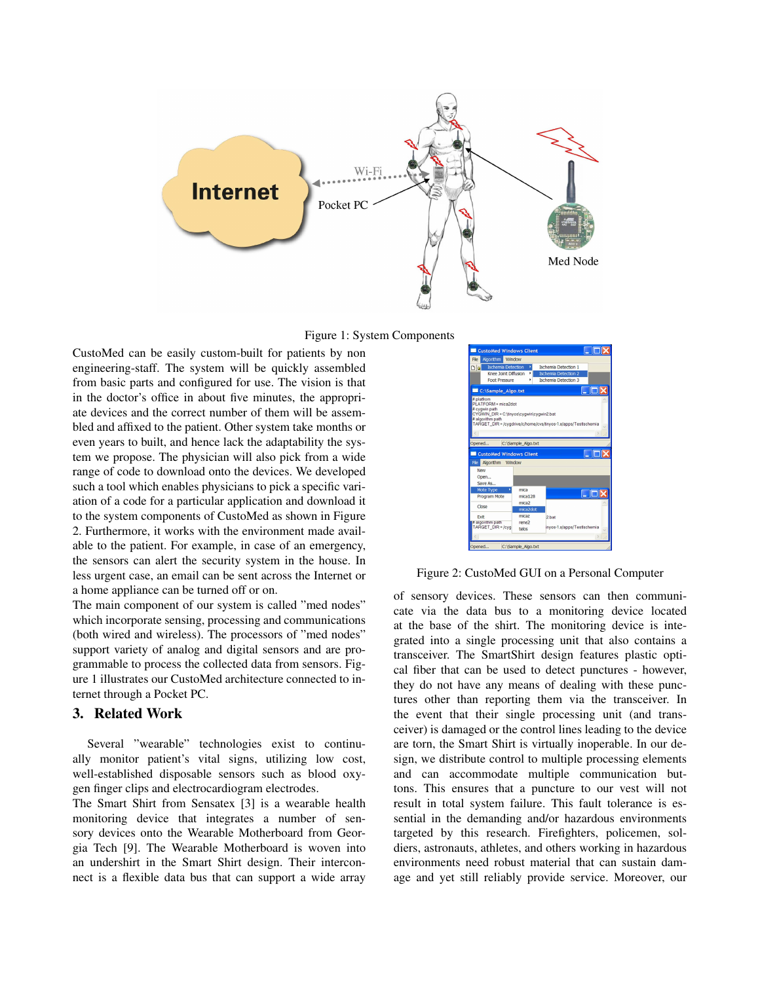

Figure 1: System Components

CustoMed can be easily custom-built for patients by non engineering-staff. The system will be quickly assembled from basic parts and configured for use. The vision is that in the doctor's office in about five minutes, the appropriate devices and the correct number of them will be assembled and affixed to the patient. Other system take months or even years to built, and hence lack the adaptability the system we propose. The physician will also pick from a wide range of code to download onto the devices. We developed such a tool which enables physicians to pick a specific variation of a code for a particular application and download it to the system components of CustoMed as shown in Figure 2. Furthermore, it works with the environment made available to the patient. For example, in case of an emergency, the sensors can alert the security system in the house. In less urgent case, an email can be sent across the Internet or a home appliance can be turned off or on.

The main component of our system is called "med nodes" which incorporate sensing, processing and communications (both wired and wireless). The processors of "med nodes" support variety of analog and digital sensors and are programmable to process the collected data from sensors. Figure 1 illustrates our CustoMed architecture connected to internet through a Pocket PC.

# 3. Related Work

Several "wearable" technologies exist to continually monitor patient's vital signs, utilizing low cost, well-established disposable sensors such as blood oxygen finger clips and electrocardiogram electrodes.

The Smart Shirt from Sensatex [3] is a wearable health monitoring device that integrates a number of sensory devices onto the Wearable Motherboard from Georgia Tech [9]. The Wearable Motherboard is woven into an undershirt in the Smart Shirt design. Their interconnect is a flexible data bus that can support a wide array



Figure 2: CustoMed GUI on a Personal Computer

of sensory devices. These sensors can then communicate via the data bus to a monitoring device located at the base of the shirt. The monitoring device is integrated into a single processing unit that also contains a transceiver. The SmartShirt design features plastic optical fiber that can be used to detect punctures - however, they do not have any means of dealing with these punctures other than reporting them via the transceiver. In the event that their single processing unit (and transceiver) is damaged or the control lines leading to the device are torn, the Smart Shirt is virtually inoperable. In our design, we distribute control to multiple processing elements and can accommodate multiple communication buttons. This ensures that a puncture to our vest will not result in total system failure. This fault tolerance is essential in the demanding and/or hazardous environments targeted by this research. Firefighters, policemen, soldiers, astronauts, athletes, and others working in hazardous environments need robust material that can sustain damage and yet still reliably provide service. Moreover, our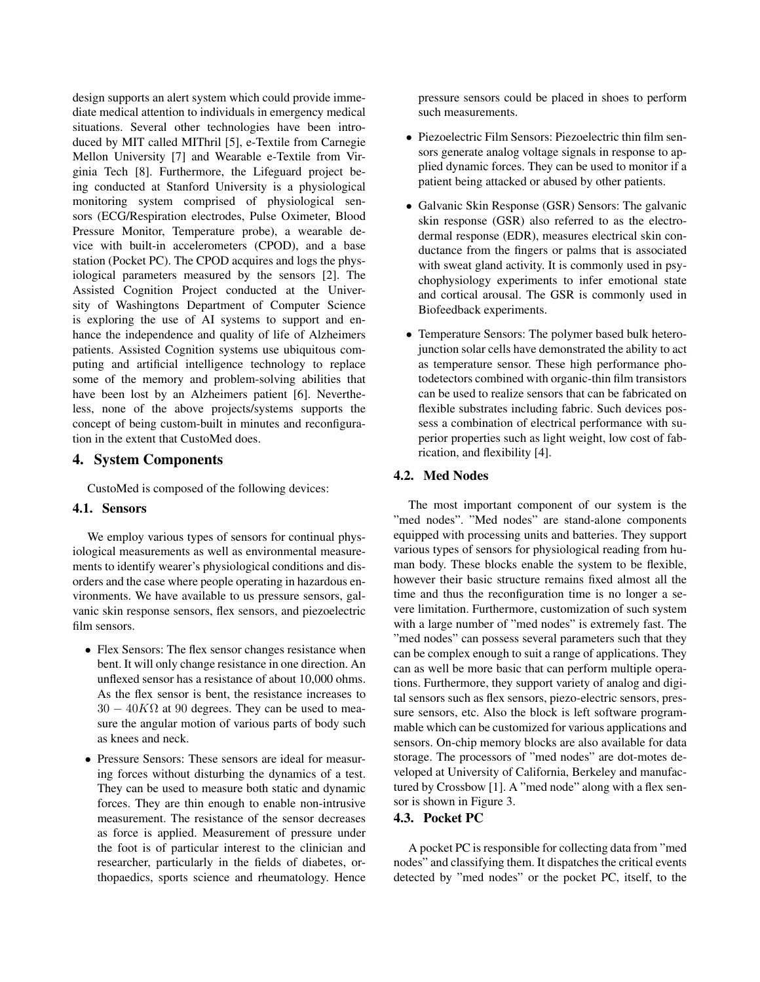design supports an alert system which could provide immediate medical attention to individuals in emergency medical situations. Several other technologies have been introduced by MIT called MIThril [5], e-Textile from Carnegie Mellon University [7] and Wearable e-Textile from Virginia Tech [8]. Furthermore, the Lifeguard project being conducted at Stanford University is a physiological monitoring system comprised of physiological sensors (ECG/Respiration electrodes, Pulse Oximeter, Blood Pressure Monitor, Temperature probe), a wearable device with built-in accelerometers (CPOD), and a base station (Pocket PC). The CPOD acquires and logs the physiological parameters measured by the sensors [2]. The Assisted Cognition Project conducted at the University of Washingtons Department of Computer Science is exploring the use of AI systems to support and enhance the independence and quality of life of Alzheimers patients. Assisted Cognition systems use ubiquitous computing and artificial intelligence technology to replace some of the memory and problem-solving abilities that have been lost by an Alzheimers patient [6]. Nevertheless, none of the above projects/systems supports the concept of being custom-built in minutes and reconfiguration in the extent that CustoMed does.

# 4. System Components

CustoMed is composed of the following devices:

#### 4.1. Sensors

We employ various types of sensors for continual physiological measurements as well as environmental measurements to identify wearer's physiological conditions and disorders and the case where people operating in hazardous environments. We have available to us pressure sensors, galvanic skin response sensors, flex sensors, and piezoelectric film sensors.

- Flex Sensors: The flex sensor changes resistance when bent. It will only change resistance in one direction. An unflexed sensor has a resistance of about 10,000 ohms. As the flex sensor is bent, the resistance increases to  $30 - 40K\Omega$  at 90 degrees. They can be used to measure the angular motion of various parts of body such as knees and neck.
- Pressure Sensors: These sensors are ideal for measuring forces without disturbing the dynamics of a test. They can be used to measure both static and dynamic forces. They are thin enough to enable non-intrusive measurement. The resistance of the sensor decreases as force is applied. Measurement of pressure under the foot is of particular interest to the clinician and researcher, particularly in the fields of diabetes, orthopaedics, sports science and rheumatology. Hence

pressure sensors could be placed in shoes to perform such measurements.

- Piezoelectric Film Sensors: Piezoelectric thin film sensors generate analog voltage signals in response to applied dynamic forces. They can be used to monitor if a patient being attacked or abused by other patients.
- Galvanic Skin Response (GSR) Sensors: The galvanic skin response (GSR) also referred to as the electrodermal response (EDR), measures electrical skin conductance from the fingers or palms that is associated with sweat gland activity. It is commonly used in psychophysiology experiments to infer emotional state and cortical arousal. The GSR is commonly used in Biofeedback experiments.
- Temperature Sensors: The polymer based bulk heterojunction solar cells have demonstrated the ability to act as temperature sensor. These high performance photodetectors combined with organic-thin film transistors can be used to realize sensors that can be fabricated on flexible substrates including fabric. Such devices possess a combination of electrical performance with superior properties such as light weight, low cost of fabrication, and flexibility [4].

#### 4.2. Med Nodes

The most important component of our system is the "med nodes". "Med nodes" are stand-alone components equipped with processing units and batteries. They support various types of sensors for physiological reading from human body. These blocks enable the system to be flexible, however their basic structure remains fixed almost all the time and thus the reconfiguration time is no longer a severe limitation. Furthermore, customization of such system with a large number of "med nodes" is extremely fast. The "med nodes" can possess several parameters such that they can be complex enough to suit a range of applications. They can as well be more basic that can perform multiple operations. Furthermore, they support variety of analog and digital sensors such as flex sensors, piezo-electric sensors, pressure sensors, etc. Also the block is left software programmable which can be customized for various applications and sensors. On-chip memory blocks are also available for data storage. The processors of "med nodes" are dot-motes developed at University of California, Berkeley and manufactured by Crossbow [1]. A "med node" along with a flex sensor is shown in Figure 3.

#### 4.3. Pocket PC

A pocket PC is responsible for collecting data from "med nodes" and classifying them. It dispatches the critical events detected by "med nodes" or the pocket PC, itself, to the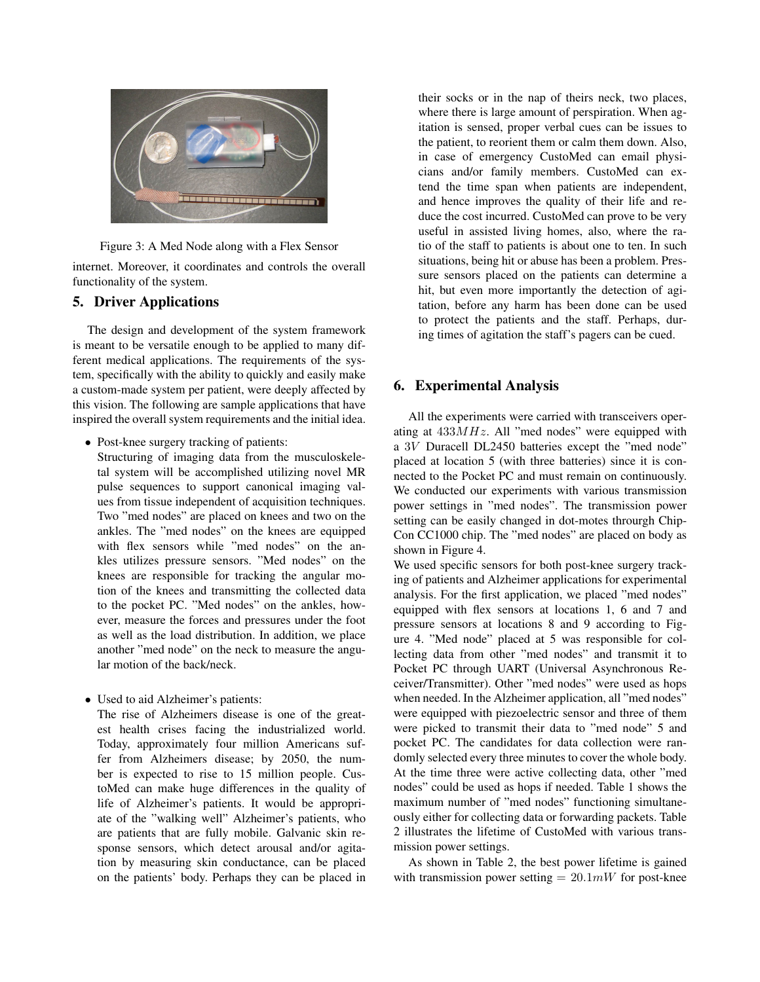

Figure 3: A Med Node along with a Flex Sensor

internet. Moreover, it coordinates and controls the overall functionality of the system.

# 5. Driver Applications

The design and development of the system framework is meant to be versatile enough to be applied to many different medical applications. The requirements of the system, specifically with the ability to quickly and easily make a custom-made system per patient, were deeply affected by this vision. The following are sample applications that have inspired the overall system requirements and the initial idea.

• Post-knee surgery tracking of patients:

Structuring of imaging data from the musculoskeletal system will be accomplished utilizing novel MR pulse sequences to support canonical imaging values from tissue independent of acquisition techniques. Two "med nodes" are placed on knees and two on the ankles. The "med nodes" on the knees are equipped with flex sensors while "med nodes" on the ankles utilizes pressure sensors. "Med nodes" on the knees are responsible for tracking the angular motion of the knees and transmitting the collected data to the pocket PC. "Med nodes" on the ankles, however, measure the forces and pressures under the foot as well as the load distribution. In addition, we place another "med node" on the neck to measure the angular motion of the back/neck.

• Used to aid Alzheimer's patients:

The rise of Alzheimers disease is one of the greatest health crises facing the industrialized world. Today, approximately four million Americans suffer from Alzheimers disease; by 2050, the number is expected to rise to 15 million people. CustoMed can make huge differences in the quality of life of Alzheimer's patients. It would be appropriate of the "walking well" Alzheimer's patients, who are patients that are fully mobile. Galvanic skin response sensors, which detect arousal and/or agitation by measuring skin conductance, can be placed on the patients' body. Perhaps they can be placed in their socks or in the nap of theirs neck, two places, where there is large amount of perspiration. When agitation is sensed, proper verbal cues can be issues to the patient, to reorient them or calm them down. Also, in case of emergency CustoMed can email physicians and/or family members. CustoMed can extend the time span when patients are independent, and hence improves the quality of their life and reduce the cost incurred. CustoMed can prove to be very useful in assisted living homes, also, where the ratio of the staff to patients is about one to ten. In such situations, being hit or abuse has been a problem. Pressure sensors placed on the patients can determine a hit, but even more importantly the detection of agitation, before any harm has been done can be used to protect the patients and the staff. Perhaps, during times of agitation the staff's pagers can be cued.

# 6. Experimental Analysis

All the experiments were carried with transceivers operating at  $433MHz$ . All "med nodes" were equipped with a 3V Duracell DL2450 batteries except the "med node" placed at location 5 (with three batteries) since it is connected to the Pocket PC and must remain on continuously. We conducted our experiments with various transmission power settings in "med nodes". The transmission power setting can be easily changed in dot-motes throurgh Chip-Con CC1000 chip. The "med nodes" are placed on body as shown in Figure 4.

We used specific sensors for both post-knee surgery tracking of patients and Alzheimer applications for experimental analysis. For the first application, we placed "med nodes" equipped with flex sensors at locations 1, 6 and 7 and pressure sensors at locations 8 and 9 according to Figure 4. "Med node" placed at 5 was responsible for collecting data from other "med nodes" and transmit it to Pocket PC through UART (Universal Asynchronous Receiver/Transmitter). Other "med nodes" were used as hops when needed. In the Alzheimer application, all "med nodes" were equipped with piezoelectric sensor and three of them were picked to transmit their data to "med node" 5 and pocket PC. The candidates for data collection were randomly selected every three minutes to cover the whole body. At the time three were active collecting data, other "med nodes" could be used as hops if needed. Table 1 shows the maximum number of "med nodes" functioning simultaneously either for collecting data or forwarding packets. Table 2 illustrates the lifetime of CustoMed with various transmission power settings.

As shown in Table 2, the best power lifetime is gained with transmission power setting  $= 20.1 \text{mW}$  for post-knee